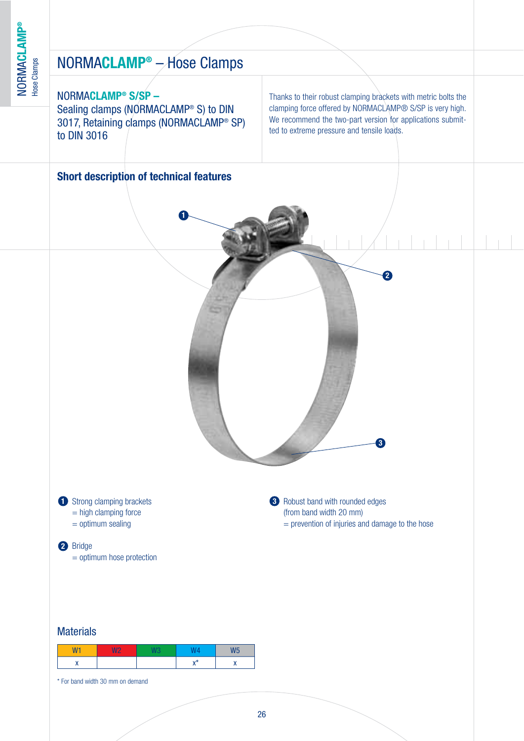### NORMA**CLAMP® S/SP –**

Sealing clamps (NORMACLAMP® S) to DIN 3017, Retaining clamps (NORMACLAMP® SP) to DIN 3016

Thanks to their robust clamping brackets with metric bolts the clamping force offered by NORMACLAMP® S/SP is very high. We recommend the two-part version for applications submitted to extreme pressure and tensile loads.

## **Short description of technical features**

**1**



- **1** Strong clamping brackets **3**  $=$  high clamping force
	- = optimum sealing

#### Bridge **2**

= optimum hose protection

**8** Robust band with rounded edges (from band width 20 mm)

- 
- $=$  prevention of injuries and damage to the hose

#### **Materials**

| IC<br>n. |           |  |
|----------|-----------|--|
|          | $\lambda$ |  |

\* For band width 30 mm on demand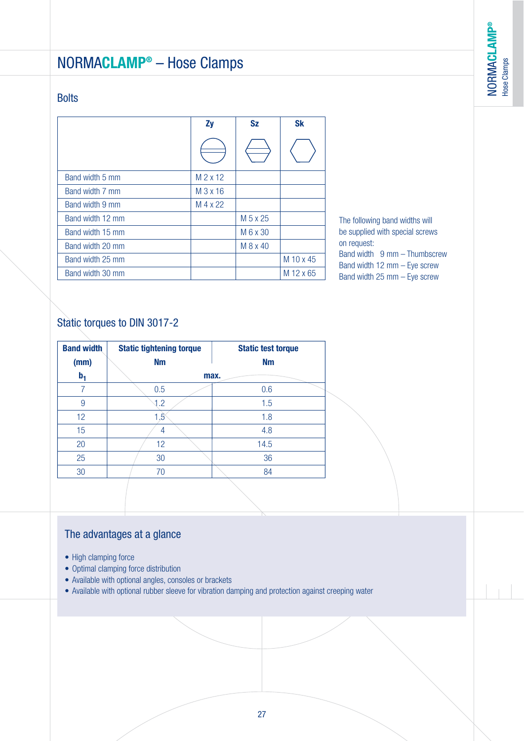**®**

## NORMA**CLAMP®** – Hose Clamps

#### **Bolts**

|                  | Zy       | <b>Sz</b> | <b>Sk</b> |
|------------------|----------|-----------|-----------|
|                  |          |           |           |
| Band width 5 mm  | M 2 x 12 |           |           |
| Band width 7 mm  | M 3 x 16 |           |           |
| Band width 9 mm  | M 4 x 22 |           |           |
| Band width 12 mm |          | M 5 x 25  |           |
| Band width 15 mm |          | M 6 x 30  |           |
| Band width 20 mm |          | M 8 x 40  |           |
| Band width 25 mm |          |           | M 10 x 45 |
| Band width 30 mm |          |           | M 12 x 65 |

The following band widths will be supplied with special screws on request: Band width 9 mm – Thumbscrew Band width 12 mm – Eye screw Band width 25 mm – Eye screw

## Static torques to DIN 3017-2

| <b>Band width</b> | <b>Static tightening torque</b> | <b>Static test torque</b> |  |  |  |
|-------------------|---------------------------------|---------------------------|--|--|--|
| (mm)              | <b>Nm</b>                       | <b>Nm</b>                 |  |  |  |
| $b_1$             |                                 | max.                      |  |  |  |
| 7                 | 0.5                             | 0.6                       |  |  |  |
| 9                 | 1.2                             | 1.5                       |  |  |  |
| 12                | 1.5                             | 1.8                       |  |  |  |
| 15                | 4                               | 4.8                       |  |  |  |
| 20                | 12                              | 14.5                      |  |  |  |
| 25                | 30                              | 36                        |  |  |  |
| 30                | 70                              | 84                        |  |  |  |
|                   |                                 |                           |  |  |  |

## The advantages at a glance

- High clamping force
- Optimal clamping force distribution
- Available with optional angles, consoles or brackets
- Available with optional rubber sleeve for vibration damping and protection against creeping water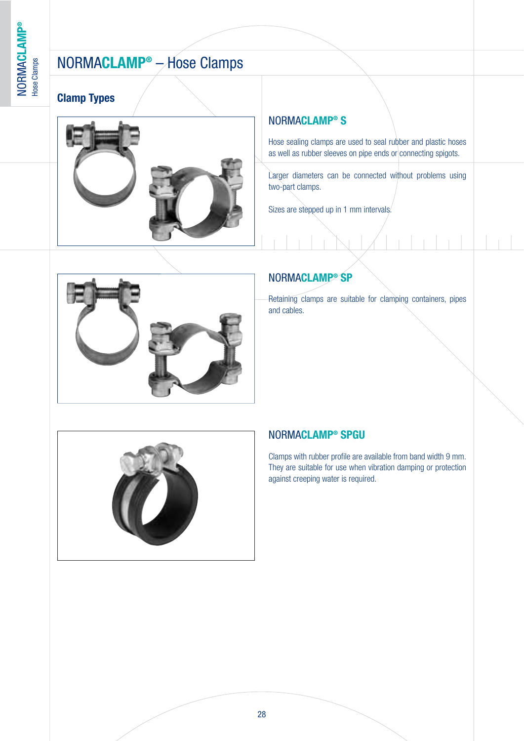## **Clamp Types**



### NORMA**CLAMP® S**

Hose sealing clamps are used to seal rubber and plastic hoses as well as rubber sleeves on pipe ends or connecting spigots.

Larger diameters can be connected without problems using two-part clamps.

Sizes are stepped up in 1 mm intervals.



## NORMA**CLAMP® SP**

Retaining clamps are suitable for clamping containers, pipes and cables.



## NORMA**CLAMP® SPGU**

Clamps with rubber profile are available from band width 9 mm. They are suitable for use when vibration damping or protection against creeping water is required.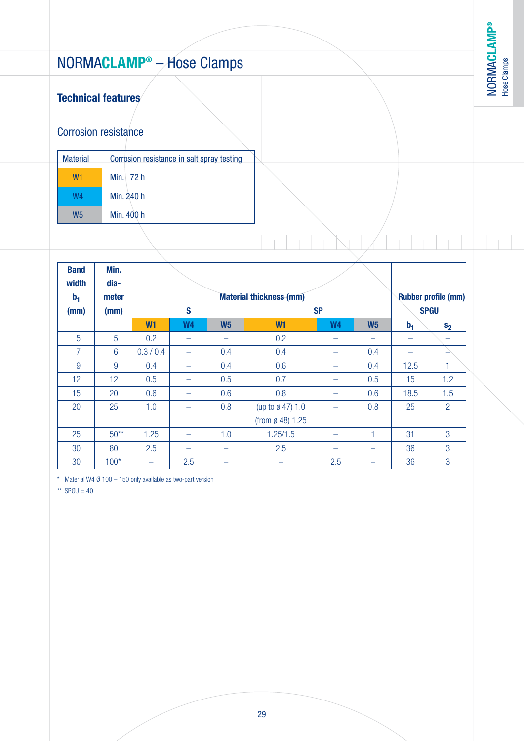# NORMA**CLAMP®** – Hose Clamps

## **Technical features**

## Corrosion resistance

| <b>Material</b> | Corrosion resistance in salt spray testing |
|-----------------|--------------------------------------------|
| W1              | Min. $72 h$                                |
| W4              | Min. 240 h                                 |
| W5              | Min. 400 h                                 |

| <b>Band</b><br>width<br>b <sub>1</sub> | Min.<br>dia-<br>meter |                | <b>Material thickness (mm)</b> |                |                  |                          |                          |                          | <b>Rubber profile (mm)</b> |
|----------------------------------------|-----------------------|----------------|--------------------------------|----------------|------------------|--------------------------|--------------------------|--------------------------|----------------------------|
| (mm)                                   | (mm)                  |                | S                              |                |                  | <b>SP</b>                |                          |                          | <b>SPGU</b>                |
|                                        |                       | W <sub>1</sub> | <b>W4</b>                      | W <sub>5</sub> | W <sub>1</sub>   | W <sub>4</sub>           | W <sub>5</sub>           | $b_1$                    | s <sub>2</sub>             |
| 5                                      | $5^{\circ}$           | 0.2            | -                              |                | 0.2              | $\overline{\phantom{0}}$ | $\overline{\phantom{m}}$ | $\overline{\phantom{0}}$ |                            |
| $\overline{7}$                         | 6                     | 0.3 / 0.4      |                                | 0.4            | 0.4              |                          | 0.4                      |                          |                            |
| 9                                      | 9                     | 0.4            |                                | 0.4            | 0.6              |                          | 0.4                      | 12.5                     | 1                          |
| 12                                     | 12                    | 0.5            |                                | 0.5            | 0.7              |                          | 0.5                      | 15                       | 1.2                        |
| 15                                     | 20                    | 0.6            |                                | 0.6            | 0.8              |                          | 0.6                      | 18.5                     | 1.5                        |
| 20                                     | 25                    | 1.0            |                                | 0.8            | (up to ø 47) 1.0 |                          | 0.8                      | 25                       | $\overline{2}$             |
|                                        |                       |                |                                |                | (from ø 48) 1.25 |                          |                          |                          |                            |
| 25                                     | $50**$                | 1.25           |                                | 1.0            | 1.25/1.5         |                          |                          | 31                       | 3                          |
| 30                                     | 80                    | 2.5            |                                |                | 2.5              |                          |                          | 36                       | 3                          |
| 30                                     | $100*$                |                | 2.5                            |                |                  | 2.5                      |                          | 36                       | 3                          |

\* Material W4  $\emptyset$  100 – 150 only available as two-part version

\*\*  $SPGU = 40$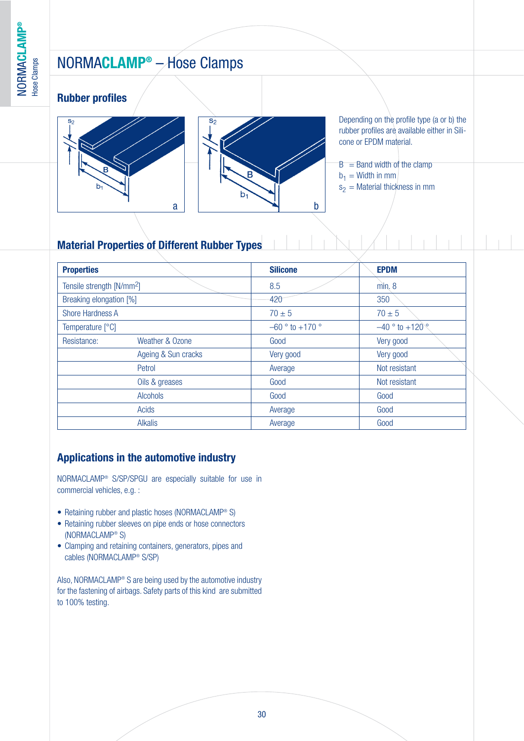#### **Rubber profiles**





Depending on the profile type (a or b) the rubber profiles are available either in Silicone or EPDM material.

- $B =$  Band width of the clamp
- $b_1$  = Width in mm
- $s_2$  = Material thickness in mm

### **Material Properties of Different Rubber Types**

| <b>Properties</b>                     |                     | <b>Silicone</b>     | <b>EPDM</b>         |
|---------------------------------------|---------------------|---------------------|---------------------|
| Tensile strength [N/mm <sup>2</sup> ] |                     | 8.5                 | min.8               |
| Breaking elongation [%]               |                     | 420                 | 350                 |
| <b>Shore Hardness A</b>               |                     | $70 \pm 5$          | $70 \pm 5$          |
| Temperature [°C]                      |                     | $-60$ ° to $+170$ ° | $-40$ ° to $+120$ ° |
| Resistance:                           | Weather & Ozone     | Good                | Very good           |
|                                       | Ageing & Sun cracks | Very good           | Very good           |
|                                       | Petrol              | Average             | Not resistant       |
|                                       | Oils & greases      | Good                | Not resistant       |
|                                       | Alcohols            | Good                | Good                |
|                                       | Acids               | Average             | Good                |
|                                       | <b>Alkalis</b>      | Average             | Good                |

## **Applications in the automotive industry**

NORMACLAMP® S/SP/SPGU are especially suitable for use in commercial vehicles, e.g. :

- Retaining rubber and plastic hoses (NORMACLAMP® S)
- Retaining rubber sleeves on pipe ends or hose connectors (NORMACLAMP® S)
- Clamping and retaining containers, generators, pipes and cables (NORMACLAMP® S/SP)

Also, NORMACLAMP® S are being used by the automotive industry for the fastening of airbags. Safety parts of this kind are submitted to 100% testing.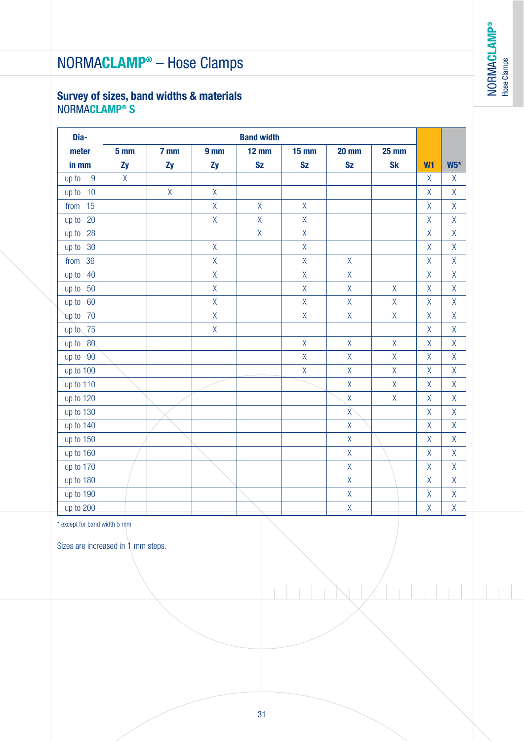**®**

# NORMA**CLAMP®** – Hose Clamps

### **Survey of sizes, band widths & materials** NORMA**CLAMP® S**

| Dia-        | <b>Band width</b> |         |                 |                |                    |                |                    |                    |                |
|-------------|-------------------|---------|-----------------|----------------|--------------------|----------------|--------------------|--------------------|----------------|
| meter       | 5 <sub>mm</sub>   | 7 mm    | 9 <sub>mm</sub> | <b>12 mm</b>   | <b>15 mm</b>       | <b>20 mm</b>   | <b>25 mm</b>       |                    |                |
| in mm       | Zy                | Zy      | Zy              | <b>Sz</b>      | <b>Sz</b>          | <b>Sz</b>      | <b>Sk</b>          | W <sub>1</sub>     | $W5*$          |
| 9<br>up to  | $\mathsf{X}$      |         |                 |                |                    |                |                    | $\sf X$            | $\chi$         |
| up to $10$  |                   | $\sf X$ | $\sf X$         |                |                    |                |                    | $\sf X$            | $\sf X$        |
| 15<br>from  |                   |         | $\mathsf{X}$    | $\sf X$        | $\chi$             |                |                    | $\mathsf X$        | $\sf X$        |
| 20<br>up to |                   |         | $\mathsf X$     | $\mathsf{X}$   | $\sf X$            |                |                    | $\sf X$            | $\sf X$        |
| 28<br>up to |                   |         |                 | $\overline{X}$ | $\sf X$            |                |                    | $\sf X$            | $\sf X$        |
| 30<br>up to |                   |         | $\sf X$         |                | $\sf X$            |                |                    | $\mathsf X$        | $\sf X$        |
| from 36     |                   |         | $\mathsf{X}$    |                | $\sf X$            | $\sf X$        |                    | $\sf X$            | $\sf X$        |
| up to<br>40 |                   |         | $\sf X$         |                | $\sf X$            | $\sf X$        |                    | $\sf X$            | $\sf X$        |
| 50<br>up to |                   |         | $\sf X$         |                | $\sf X$            | $\mathsf{X}$   | $\mathsf{X}$       | $\sf X$            | $\overline{X}$ |
| up to $60$  |                   |         | $\mathsf{X}$    |                | $\sf X$            | $\mathsf{X}$   | $\sf X$            | $\sf X$            | $\sf X$        |
| up to 70    |                   |         | $\mathsf{X}$    |                | $\mathsf{X}% _{0}$ | $\mathsf{X}$   | $\mathsf{X}$       | $\mathsf X$        | $\mathsf X$    |
| up to $75$  |                   |         | $\mathsf{X}$    |                |                    |                |                    | $\sf X$            | $\sf X$        |
| up to $80$  |                   |         |                 |                | $\sf X$            | $\sf X$        | $\mathsf{X}% _{0}$ | $\sf X$            | $\sf X$        |
| up to 90    |                   |         |                 |                | $\sf X$            | $\sf X$        | $\sf X$            | $\mathsf X$        | $\sf X$        |
| up to 100   |                   |         |                 |                | $\sf X$            | $\mathsf{X}$   | $\mathsf{X}$       | $\sf X$            | $\sf X$        |
| up to 110   |                   |         |                 |                |                    | $\sf X$        | $\sf X$            | $\sf X$            | $\sf X$        |
| up to 120   |                   |         |                 |                |                    | $\mathsf X$    | $\mathsf{X}% _{0}$ | $\mathsf X$        | $\overline{X}$ |
| up to 130   |                   |         |                 |                |                    | $\chi$         |                    | $\sf X$            | $\overline{X}$ |
| up to 140   |                   |         |                 |                |                    | $\sf X$        |                    | $\sf X$            | $\sf X$        |
| up to 150   |                   |         |                 |                |                    | $\mathsf{X}$   |                    | $\mathsf{X}% _{0}$ | $\sf X$        |
| up to 160   |                   |         |                 |                |                    | $\sf X$        |                    | $\sf X$            | $\sf X$        |
| up to 170   |                   |         |                 |                |                    | $\sf X$        |                    | $\sf X$            | $\sf X$        |
| up to 180   |                   |         |                 |                |                    | $\sf X$        |                    | $\sf X$            | $\sf X$        |
| up to 190   |                   |         |                 |                |                    | $\sf X$        |                    | $\sf X$            | $\sf X$        |
| up to 200   |                   |         |                 |                |                    | $\overline{X}$ |                    | $\overline{X}$     | $\overline{X}$ |

\* except for band width 5 mm

Sizes are increased in  $\frac{1}{1}$  mm steps.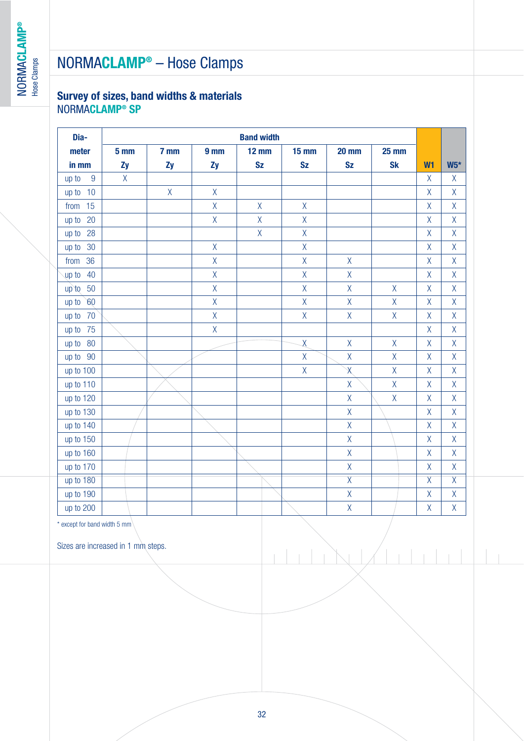### **Survey of sizes, band widths & materials** NORMA**CLAMP® SP**

| Dia-          | <b>Band width</b> |              |                 |              |                    |                         |              |                    |                    |
|---------------|-------------------|--------------|-----------------|--------------|--------------------|-------------------------|--------------|--------------------|--------------------|
| meter         | 5 <sub>mm</sub>   | 7 mm         | 9 <sub>mm</sub> | <b>12 mm</b> | <b>15 mm</b>       | <b>20 mm</b>            | <b>25 mm</b> |                    |                    |
| in mm         | Zy                | Zy           | Zy              | <b>Sz</b>    | <b>Sz</b>          | <b>Sz</b>               | <b>Sk</b>    | W <sub>1</sub>     | $W5*$              |
| up to<br>9    | $\overline{X}$    |              |                 |              |                    |                         |              | $\sf X$            | $\chi$             |
| up to $10$    |                   | $\mathsf{X}$ | $\mathsf{X}$    |              |                    |                         |              | $\overline{X}$     | $\mathsf{X}$       |
| 15<br>from    |                   |              | $\sf X$         | $\sf X$      | $\mathsf{X}% _{0}$ |                         |              | $\mathsf{X}% _{0}$ | $\mathsf{X}$       |
| 20<br>up to   |                   |              | $\mathsf X$     | $\sf X$      | $\mathsf{X}$       |                         |              | $\mathsf{X}% _{0}$ | $\mathsf{X}$       |
| 28<br>up to   |                   |              |                 | $\mathsf{X}$ | $\overline{X}$     |                         |              | $\sf X$            | $\mathsf{X}$       |
| 30<br>up to   |                   |              | $\sf X$         |              | $\mathsf{X}$       |                         |              | $\mathsf{X}$       | $\mathsf{X}$       |
| 36<br>from    |                   |              | $\mathsf X$     |              | $\mathsf{X}$       | $\mathsf{X}$            |              | $\mathsf{X}$       | $\mathsf{X}$       |
| up to<br>40   |                   |              | $\sf X$         |              | $\mathsf{X}$       | $\overline{X}$          |              | $\mathsf{X}% _{0}$ | $\mathsf{X}$       |
| 50<br>$up$ to |                   |              | $\mathsf{X}$    |              | $\overline{X}$     | $\overline{X}$          | $\mathsf{X}$ | $\overline{X}$     | $\mathsf{X}$       |
| 60<br>up to   |                   |              | $\mathsf{X}$    |              | $\sf X$            | $\overline{X}$          | $\sf X$      | $\sf X$            | $\mathsf{X}$       |
| 70<br>up to   |                   |              | $\mathsf X$     |              | $\mathsf{X}$       | $\mathsf{X}$            | $\mathsf{X}$ | $\mathsf{X}% _{0}$ | $\mathsf{X}$       |
| up to 75      |                   |              | $\overline{X}$  |              |                    |                         |              | $\overline{X}$     | $\overline{X}$     |
| 80<br>up to   |                   |              |                 |              | $\sf X$            | $\mathsf{X}$            | $\sf X$      | $\mathsf{X}% _{0}$ | $\mathsf{X}$       |
| up to 90      |                   |              |                 |              | $\sf X$            | $\mathsf{X}$            | $\mathsf{X}$ | $\sf X$            | $\mathsf{X}% _{0}$ |
| up to 100     |                   |              |                 |              | $\sf X$            | $\overline{X}$          | $\sf X$      | $\sf X$            | $\mathsf{X}$       |
| up to 110     |                   |              |                 |              |                    | $\sf X$                 | $\sf X$      | $\mathsf{X}% _{0}$ | $\mathsf{X}$       |
| up to 120     |                   |              |                 |              |                    | $\mathsf{X}$            | $\mathsf{X}$ | $\mathsf{X}% _{0}$ | $\mathsf{X}$       |
| up to 130     |                   |              |                 |              |                    | $\overline{X}$          |              | $\mathsf{X}% _{0}$ | $\mathsf{X}$       |
| up to 140     |                   |              |                 |              |                    | $\mathsf{X}$            |              | $\overline{X}$     | $\mathsf{X}$       |
| up to 150     |                   |              |                 |              |                    | $\overline{X}$          |              | $\overline{X}$     | $\mathsf{X}$       |
| up to 160     |                   |              |                 |              |                    | $\mathsf{X}$            |              | $\mathsf{X}$       | $\mathsf{X}$       |
| up to 170     |                   |              |                 |              |                    | $\mathsf{X}$            |              | $\sf X$            | $\mathsf{X}$       |
| up to 180     |                   |              |                 |              |                    | $\overline{X}$          |              | $\overline{X}$     | $\overline{X}$     |
| up to 190     |                   |              |                 |              |                    | $\mathsf{X}% _{0}$      |              | $\mathsf X$        | $\mathsf{X}$       |
| up to 200     |                   |              |                 |              |                    | $\overline{\mathsf{X}}$ |              | $\mathsf{X}$       | $\mathsf{X}$       |

\* except for band width 5 mm

Sizes are increased in 1 mm steps.